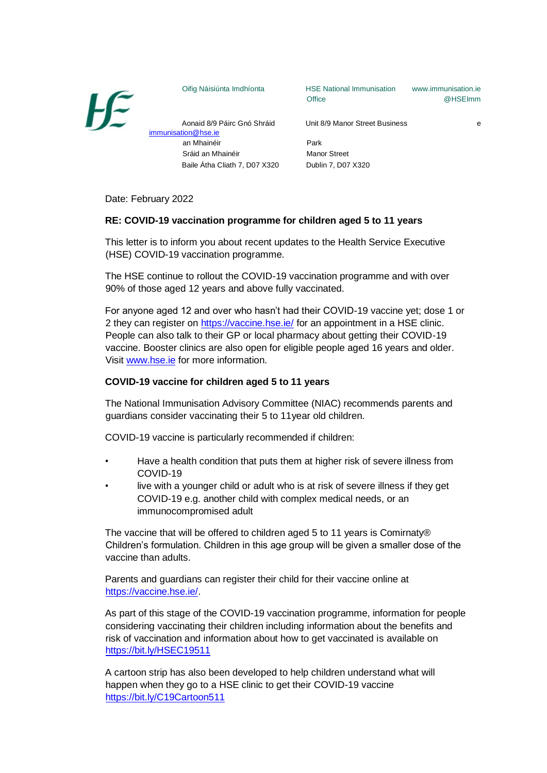

Oifig Náisiúnta Imdhíonta HSE National Immunisation www.immunisation.ie Office **@HSEImm** 

Aonaid 8/9 Páirc Gnó Shráid Unit 8/9 Manor Street Business e

an Mhainéir Park Sráid an Mhainéir **Manor Street** 

Date: February 2022

immunisation@hse.ie

## **RE: COVID-19 vaccination programme for children aged 5 to 11 years**

This letter is to inform you about recent updates to the Health Service Executive (HSE) COVID-19 vaccination programme.

Baile Átha Cliath 7, D07 X320 Dublin 7, D07 X320

The HSE continue to rollout the COVID-19 vaccination programme and with over 90% of those aged 12 years and above fully vaccinated.

For anyone aged 12 and over who hasn't had their COVID-19 vaccine yet; dose 1 or 2 they can register on https://vaccine.hse.ie/ for an appointment in a HSE clinic. People can also talk to their GP or local pharmacy about getting their COVID-19 vaccine. Booster clinics are also open for eligible people aged 16 years and older. Visit www.hse.ie for more information.

## **COVID-19 vaccine for children aged 5 to 11 years**

The National Immunisation Advisory Committee (NIAC) recommends parents and guardians consider vaccinating their 5 to 11year old children.

COVID-19 vaccine is particularly recommended if children:

- Have a health condition that puts them at higher risk of severe illness from COVID-19
- live with a younger child or adult who is at risk of severe illness if they get COVID-19 e.g. another child with complex medical needs, or an immunocompromised adult

The vaccine that will be offered to children aged 5 to 11 years is Comirnaty® Children's formulation. Children in this age group will be given a smaller dose of the vaccine than adults.

Parents and guardians can register their child for their vaccine online at https://vaccine.hse.ie/.

As part of this stage of the COVID-19 vaccination programme, information for people considering vaccinating their children including information about the benefits and risk of vaccination and information about how to get vaccinated is available on https://bit.ly/HSEC19511

A cartoon strip has also been developed to help children understand what will happen when they go to a HSE clinic to get their COVID-19 vaccine https://bit.ly/C19Cartoon511